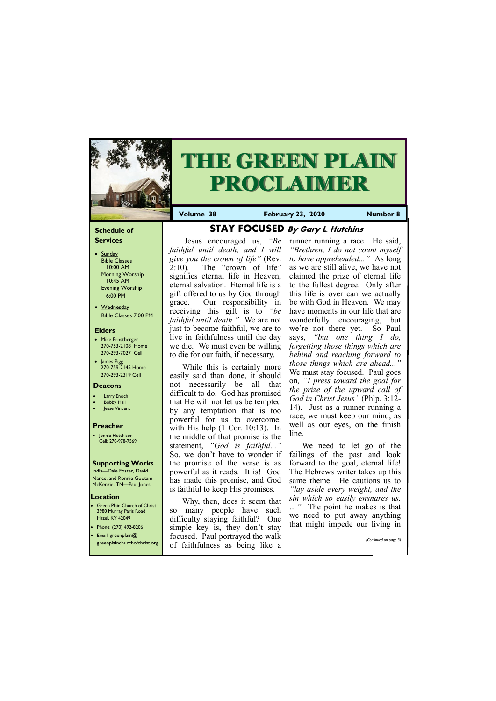## **Schedule of Services**

- Sunday Bible Classes 10:00 AM Morning Worship 10:45 AM Evening Worship 6:00 PM
- Wednesday Bible Classes 7:00 PM

## **Elders**

**Green Plain Church of Christ** 3980 Murray Paris Road Hazel, KY 42049 • Phone: (270) 492-8206

- Mike Ernstberger 270-753-2108 Home 270-293-7027 Cell
- James Pigg 270-759-2145 Home 270-293-2319 Cell



# **THE GREEN PLAIN PROCLAIMER**

#### **Location**

**Volume 38 February 23, 2020 Number 8**

#### **Deacons**

- **Larry Enoch**
- **Bobby Hall**
- Jesse Vincent

## **Preacher**

• Jonnie Hutchison Cell: 270-978-7569

#### **Supporting Works**

India—Dale Foster, David Nance. and Ronnie Gootam McKenzie, TN—Paul Jones

**STAY FOCUSED By Gary L. Hutchins**

Jesus encouraged us, *"Be faithful until death, and I will give you the crown of life"* (Rev. 2:10). The "crown of life" signifies eternal life in Heaven, eternal salvation. Eternal life is a gift offered to us by God through grace. Our responsibility in receiving this gift is to *"be faithful until death."* We are not just to become faithful, we are to live in faithfulness until the day we die. We must even be willing to die for our faith, if necessary.

While this is certainly more easily said than done, it should not necessarily be all that difficult to do. God has promised that He will not let us be tempted by any temptation that is too powerful for us to overcome, with His help (1 Cor. 10:13). In the middle of that promise is the statement, *"God is faithful..."*  So, we don't have to wonder if the promise of the verse is as powerful as it reads. It is! God has made this promise, and God is faithful to keep His promises.

| • Email: greenplain $@$<br>greenplainchurchofchrist.org | $\frac{1}{2}$<br>focused. Paul portrayed the walk<br>of faithfulness as being like a | (Continued on page 3) |
|---------------------------------------------------------|--------------------------------------------------------------------------------------|-----------------------|
|---------------------------------------------------------|--------------------------------------------------------------------------------------|-----------------------|

Why, then, does it seem that so many people have such difficulty staying faithful? One simple key is, they don't stay

runner running a race. He said, *"Brethren, I do not count myself to have apprehended..."* As long as we are still alive, we have not claimed the prize of eternal life to the fullest degree. Only after this life is over can we actually be with God in Heaven. We may have moments in our life that are wonderfully encouraging, but we're not there yet. So Paul says, *"but one thing I do, forgetting those things which are behind and reaching forward to those things which are ahead..."*  We must stay focused. Paul goes on*, "I press toward the goal for the prize of the upward call of God in Christ Jesus"* (Phlp. 3:12- 14). Just as a runner running a race, we must keep our mind, as well as our eyes, on the finish line.

We need to let go of the failings of the past and look forward to the goal, eternal life! The Hebrews writer takes up this same theme. He cautions us to *"lay aside every weight, and the sin which so easily ensnares us, …"* The point he makes is that we need to put away anything that might impede our living in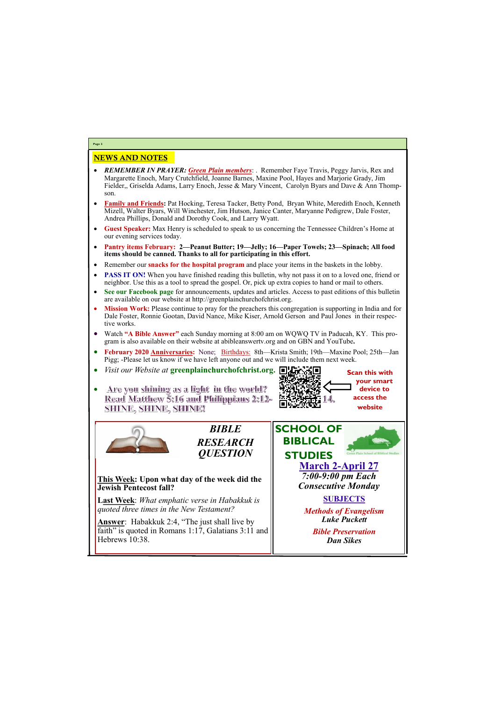# NEWS AND NOTES

- *REMEMBER IN PRAYER: Green Plain members*: . Remember Faye Travis, Peggy Jarvis, Rex and Margarette Enoch, Mary Crutchfield, Joanne Barnes, Maxine Pool, Hayes and Marjorie Grady, Jim Fielder,, Griselda Adams, Larry Enoch, Jesse & Mary Vincent, Carolyn Byars and Dave & Ann Thompson.
- **Family and Friends:** Pat Hocking, Teresa Tacker, Betty Pond, Bryan White, Meredith Enoch, Kenneth Mizell, Walter Byars, Will Winchester, Jim Hutson, Janice Canter, Maryanne Pedigrew, Dale Foster, Andrea Phillips, Donald and Dorothy Cook, and Larry Wyatt.
- **Guest Speaker:** Max Henry is scheduled to speak to us concerning the Tennessee Children's Home at our evening services today.
- **Pantry items February: 2—Peanut Butter; 19—Jelly; 16—Paper Towels; 23—Spinach; All food items should be canned. Thanks to all for participating in this effort.**
- Remember our **snacks for the hospital program** and place your items in the baskets in the lobby.
- **PASS IT ON!** When you have finished reading this bulletin, why not pass it on to a loved one, friend or neighbor. Use this as a tool to spread the gospel. Or, pick up extra copies to hand or mail to others.
- **See our Facebook page** for announcements, updates and articles. Access to past editions of this bulletin are available on our website at http://greenplainchurchofchrist.org.
- **Mission Work:** Please continue to pray for the preachers this congregation is supporting in India and for Dale Foster, Ronnie Gootan, David Nance, Mike Kiser, Arnold Gerson and Paul Jones in their respective works.
- Watch **"A Bible Answer"** each Sunday morning at 8:00 am on WQWQ TV in Paducah, KY. This program is also available on their website at abibleanswertv.org and on GBN and YouTube**.**
- **February 2020 Anniversaries:** None; Birthdays: 8th—Krista Smith; 19th—Maxine Pool; 25th—Jan Pigg; -Please let us know if we have left anyone out and we will include them next week.
- *Visit our Website at* **greenplainchurchofchrist.org.**
- Are you shining as a light in the world? Read Matthew 5:16 and Philippians 2:12-<u>SHINE, SHINE, SHINE!</u>

**Answer**: Habakkuk 2:4, "The just shall live by faith" is quoted in Romans 1:17, Galatians 3:11 and Hebrews 10:38.

**Page 2**

*BIBLE RESEARCH QUESTION*

**This Week: Upon what day of the week did the Jewish Pentecost fall?**

**Last Week**: *What emphatic verse in Habakkuk is quoted three times in the New Testament?*



*Bible Preservation Dan Sikes*



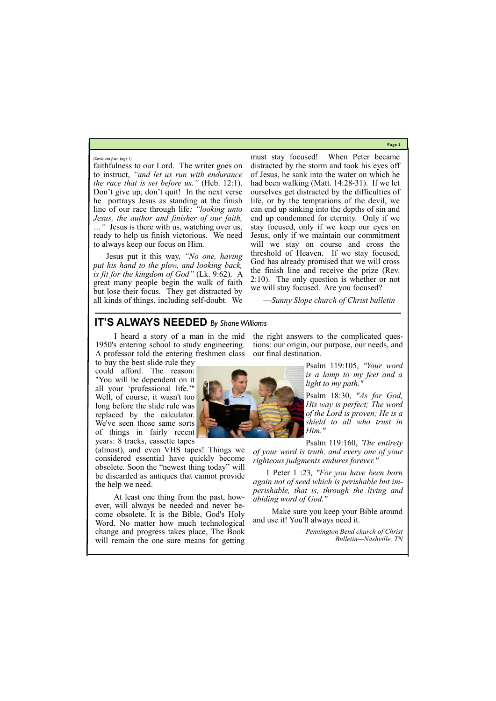**Page 3**

faithfulness to our Lord. The writer goes on to instruct, *"and let us run with endurance the race that is set before us."* (Heb. 12:1). Don't give up, don't quit! In the next verse he portrays Jesus as standing at the finish line of our race through life*: "looking unto Jesus, the author and finisher of our faith, …"* Jesus is there with us, watching over us, ready to help us finish victorious. We need to always keep our focus on Him.

Jesus put it this way, *"No one, having put his hand to the plow, and looking back, is fit for the kingdom of God"* (Lk. 9:62). A great many people begin the walk of faith but lose their focus. They get distracted by all kinds of things, including self-doubt. We must stay focused! When Peter became distracted by the storm and took his eyes off of Jesus, he sank into the water on which he had been walking (Matt. 14:28-31). If we let ourselves get distracted by the difficulties of life, or by the temptations of the devil, we can end up sinking into the depths of sin and end up condemned for eternity. Only if we stay focused, only if we keep our eyes on Jesus, only if we maintain our commitment will we stay on course and cross the threshold of Heaven. If we stay focused, God has already promised that we will cross the finish line and receive the prize (Rev. 2:10). The only question is whether or not we will stay focused. Are you focused?

—*Sunny Slope church of Christ bulletin*

#### *(Continued from page 1)*

# **IT'S ALWAYS NEEDED** *By Shane Williams*

 I heard a story of a man in the mid 1950's entering school to study engineering. A professor told the entering freshmen class to buy the best slide rule they

could afford. The reason: "You will be dependent on it all your 'professional life.'" Well, of course, it wasn't too long before the slide rule was replaced by the calculator. We've seen those same sorts of things in fairly recent years: 8 tracks, cassette tapes

(almost), and even VHS tapes! Things we considered essential have quickly become obsolete. Soon the "newest thing today" will be discarded as antiques that cannot provide the help we need.

 At least one thing from the past, however, will always be needed and never become obsolete. It is the Bible, God's Holy Word. No matter how much technological

change and progress takes place, The Book will remain the one sure means for getting



Psalm 119:105, *"Your word is a lamp to my feet and a light to my path."*

Psalm 18:30, *"As for God, His way is perfect; The word of the Lord is proven; He is a shield to all who trust in Him."*

Psalm 119:160, *'The entirety of your word is truth, and every one of your righteous judgments endures forever."*

1 Peter 1 :23*, "For you have been born again not of seed which is perishable but imperishable, that is, through the living and abiding word of God."*

 Make sure you keep your Bible around and use it! You'll always need it.

*—Pennington Bend church of Christ Bulletin—Nashville, TN*